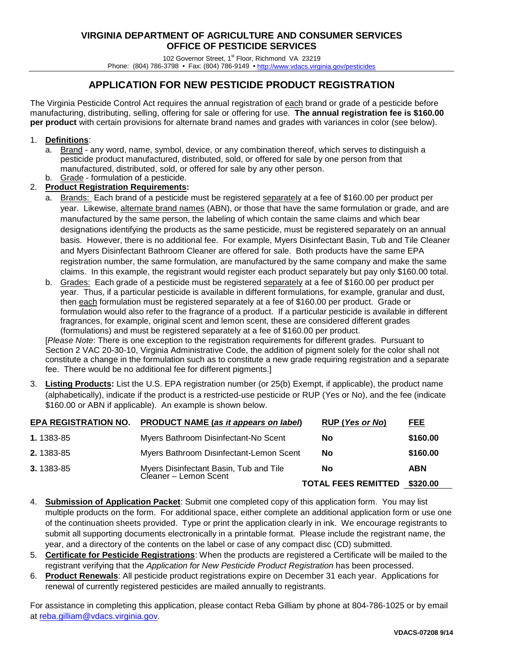102 Governor Street, 1st Floor, Richmond VA 23219 Phone: (804) 786-3798 • Fax: (804) 786-9149 [• http://www.vdacs.virginia.gov/pesticides](http://www.vdacs.virginia.gov/pesticides)

# **APPLICATION FOR NEW PESTICIDE PRODUCT REGISTRATION**

The Virginia Pesticide Control Act requires the annual registration of each brand or grade of a pesticide before manufacturing, distributing, selling, offering for sale or offering for use. **The annual registration fee is \$160.00 per product** with certain provisions for alternate brand names and grades with variances in color (see below).

#### 1. **Definitions**:

a. Brand - any word, name, symbol, device, or any combination thereof, which serves to distinguish a pesticide product manufactured, distributed, sold, or offered for sale by one person from that manufactured, distributed, sold, or offered for sale by any other person.

#### b. Grade - formulation of a pesticide. 2. **Product Registration Requirements:**

- a. Brands: Each brand of a pesticide must be registered separately at a fee of \$160.00 per product per year. Likewise, alternate brand names (ABN), or those that have the same formulation or grade, and are manufactured by the same person, the labeling of which contain the same claims and which bear designations identifying the products as the same pesticide, must be registered separately on an annual basis. However, there is no additional fee. For example, Myers Disinfectant Basin, Tub and Tile Cleaner and Myers Disinfectant Bathroom Cleaner are offered for sale. Both products have the same EPA registration number, the same formulation, are manufactured by the same company and make the same claims. In this example, the registrant would register each product separately but pay only \$160.00 total.
- b. Grades: Each grade of a pesticide must be registered separately at a fee of \$160.00 per product per year. Thus, if a particular pesticide is available in different formulations, for example, granular and dust, then each formulation must be registered separately at a fee of \$160.00 per product. Grade or formulation would also refer to the fragrance of a product. If a particular pesticide is available in different fragrances, for example, original scent and lemon scent, these are considered different grades (formulations) and must be registered separately at a fee of \$160.00 per product.

[*Please Note*: There is one exception to the registration requirements for different grades. Pursuant to Section 2 VAC 20-30-10, Virginia Administrative Code, the addition of pigment solely for the color shall not constitute a change in the formulation such as to constitute a new grade requiring registration and a separate fee. There would be no additional fee for different pigments.]

3. **Listing Products:** List the U.S. EPA registration number (or 25(b) Exempt, if applicable), the product name (alphabetically), indicate if the product is a restricted-use pesticide or RUP (Yes or No), and the fee (indicate \$160.00 or ABN if applicable). An example is shown below.

| <b>EPA REGISTRATION NO.</b> | PRODUCT NAME (as it appears on label)                           | RUP (Yes or No)                     | FEE.       |
|-----------------------------|-----------------------------------------------------------------|-------------------------------------|------------|
| 1.1383-85                   | Myers Bathroom Disinfectant-No Scent                            | No                                  | \$160.00   |
| 2.1383-85                   | Myers Bathroom Disinfectant-Lemon Scent                         | <b>No</b>                           | \$160.00   |
| 3.1383-85                   | Myers Disinfectant Basin, Tub and Tile<br>Cleaner – Lemon Scent | No                                  | <b>ABN</b> |
|                             |                                                                 | <b>TOTAL FEES REMITTED \$320.00</b> |            |

- 4. **Submission of Application Packet**: Submit one completed copy of this application form. You may list multiple products on the form. For additional space, either complete an additional application form or use one of the continuation sheets provided. Type or print the application clearly in ink. We encourage registrants to submit all supporting documents electronically in a printable format. Please include the registrant name, the year, and a directory of the contents on the label or case of any compact disc (CD) submitted.
- 5. **Certificate for Pesticide Registrations**: When the products are registered a Certificate will be mailed to the registrant verifying that the *Application for New Pesticide Product Registration* has been processed.
- 6. **Product Renewals**: All pesticide product registrations expire on December 31 each year. Applications for renewal of currently registered pesticides are mailed annually to registrants.

For assistance in completing this application, please contact Reba Gilliam by phone at 804-786-1025 or by email at [reba.gilliam@vdacs.virginia.gov.](mailto:reba.gilliam@vdacs.virginia.gov)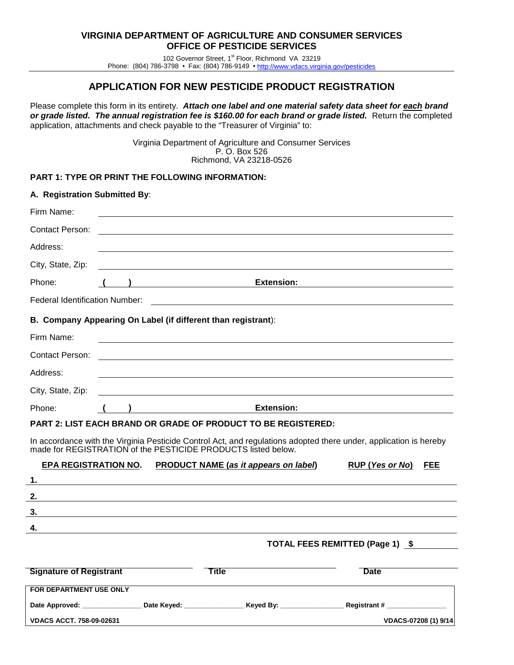102 Governor Street, 1st Floor, Richmond VA 23219 Phone: (804) 786-3798 • Fax: (804) 786-9149 [• http://www.vdacs.virginia.gov/pesticides](http://www.vdacs.virginia.gov/pesticides)

### **APPLICATION FOR NEW PESTICIDE PRODUCT REGISTRATION**

Please complete this form in its entirety. *Attach one label and one material safety data sheet for each brand or grade listed. The annual registration fee is \$160.00 for each brand or grade listed.* Return the completed application, attachments and check payable to the "Treasurer of Virginia" to:

> Virginia Department of Agriculture and Consumer Services P. O. Box 526 Richmond, VA 23218-0526

#### **PART 1: TYPE OR PRINT THE FOLLOWING INFORMATION:**

| A. Registration Submitted By:         |  |                                                                                                                       |                                                                                                                   |
|---------------------------------------|--|-----------------------------------------------------------------------------------------------------------------------|-------------------------------------------------------------------------------------------------------------------|
| Firm Name:                            |  |                                                                                                                       |                                                                                                                   |
| <b>Contact Person:</b>                |  |                                                                                                                       |                                                                                                                   |
| Address:                              |  |                                                                                                                       |                                                                                                                   |
| City, State, Zip:                     |  |                                                                                                                       |                                                                                                                   |
| Phone:                                |  | <b>Extension:</b>                                                                                                     |                                                                                                                   |
| <b>Federal Identification Number:</b> |  |                                                                                                                       |                                                                                                                   |
|                                       |  | B. Company Appearing On Label (if different than registrant):                                                         |                                                                                                                   |
| Firm Name:                            |  |                                                                                                                       |                                                                                                                   |
| Contact Person:                       |  |                                                                                                                       |                                                                                                                   |
| Address:                              |  |                                                                                                                       |                                                                                                                   |
| City, State, Zip:                     |  |                                                                                                                       |                                                                                                                   |
| Phone:                                |  | <b>Extension:</b>                                                                                                     |                                                                                                                   |
|                                       |  | <b>PART 2: LIST EACH BRAND OR GRADE OF PRODUCT TO BE REGISTERED:</b>                                                  |                                                                                                                   |
|                                       |  | made for REGISTRATION of the PESTICIDE PRODUCTS listed below.                                                         | In accordance with the Virginia Pesticide Control Act, and regulations adopted there under, application is hereby |
| <b>EPA REGISTRATION NO.</b>           |  | <b>PRODUCT NAME (as it appears on label)</b>                                                                          | RUP (Yes or No) FEE                                                                                               |
| 1.                                    |  |                                                                                                                       |                                                                                                                   |
| 2.                                    |  | <u> 1989 - Johann Barn, mars ann an t-Amhainn an t-Amhainn an t-Amhainn an t-Amhainn an t-Amhainn an t-Amhainn an</u> |                                                                                                                   |
| 3.                                    |  |                                                                                                                       |                                                                                                                   |
| 4.                                    |  |                                                                                                                       |                                                                                                                   |
|                                       |  |                                                                                                                       | TOTAL FEES REMITTED (Page 1) \$                                                                                   |
| <b>Signature of Registrant</b>        |  | Title                                                                                                                 | <b>Date</b>                                                                                                       |
| FOR DEPARTMENT USE ONLY               |  |                                                                                                                       |                                                                                                                   |
| Date Approved:                        |  |                                                                                                                       | Date Keyed: The Reved By: The Registrant #                                                                        |
| <b>VDACS ACCT. 758-09-02631</b>       |  |                                                                                                                       | VDACS-07208 (1) 9/14                                                                                              |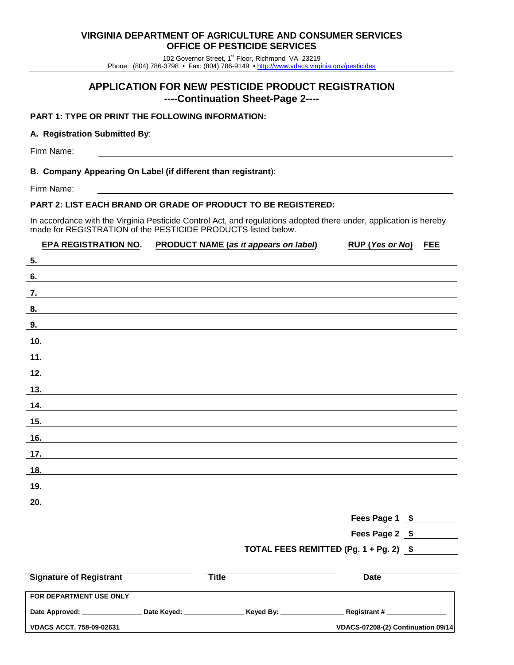102 Governor Street, 1st Floor, Richmond VA 23219 Phone: (804) 786-3798 • Fax: (804) 786-9149 [• http://www.vdacs.virginia.gov/pesticides](http://www.vdacs.virginia.gov/pesticides)

### **APPLICATION FOR NEW PESTICIDE PRODUCT REGISTRATION ----Continuation Sheet-Page 2----**

#### **PART 1: TYPE OR PRINT THE FOLLOWING INFORMATION:**

#### **A. Registration Submitted By**:

Firm Name:

#### **B. Company Appearing On Label (if different than registrant**):

Firm Name:

#### **PART 2: LIST EACH BRAND OR GRADE OF PRODUCT TO BE REGISTERED:**

In accordance with the Virginia Pesticide Control Act, and regulations adopted there under, application is hereby made for REGISTRATION of the PESTICIDE PRODUCTS listed below.

## **EPA REGISTRATION NO. PRODUCT NAME (***as it appears on label***) RUP (***Yes or No***) FEE**

| $\overline{\phantom{a}}$ |  |  |  |
|--------------------------|--|--|--|
| 6.                       |  |  |  |
| $\frac{7}{1}$            |  |  |  |
| 8.                       |  |  |  |
| 9.                       |  |  |  |
| 10.                      |  |  |  |
| 11.                      |  |  |  |
| $12.$                    |  |  |  |
| 13.                      |  |  |  |
| 14.                      |  |  |  |
| 15.                      |  |  |  |
| 16.                      |  |  |  |
| 17.                      |  |  |  |
| 18.                      |  |  |  |
| 19.                      |  |  |  |
| 20.                      |  |  |  |
|                          |  |  |  |

**Fees Page 1 \$**

**Fees Page 2 \$**

### **TOTAL FEES REMITTED (Pg. 1 + Pg. 2) \$**

| <b>Signature of Registrant</b>  |             | ™itle     | Date                               |
|---------------------------------|-------------|-----------|------------------------------------|
| <b>FOR DEPARTMENT USE ONLY</b>  |             |           |                                    |
| Date Approved:                  | Date Keyed: | Keyed By: | <b>Registrant #</b>                |
| <b>VDACS ACCT, 758-09-02631</b> |             |           | VDACS-07208-(2) Continuation 09/14 |